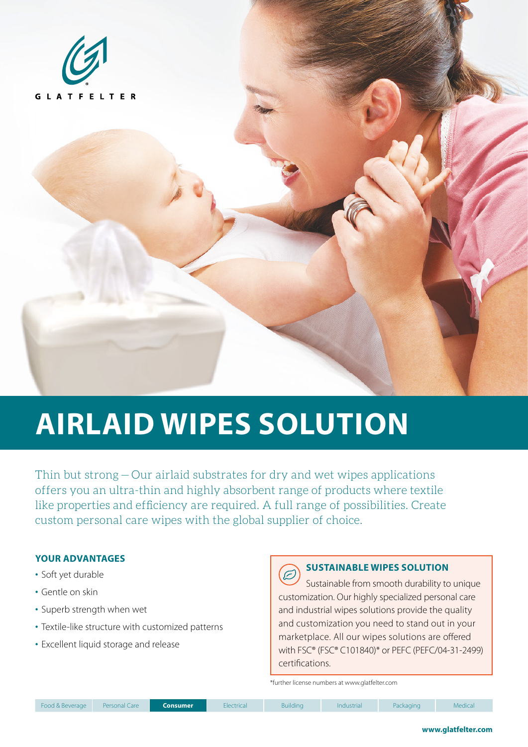

# **AIRLAID WIPES SOLUTION**

Thin but strong — Our airlaid substrates for dry and wet wipes applications offers you an ultra-thin and highly absorbent range of products where textile like properties and efficiency are required. A full range of possibilities. Create custom personal care wipes with the global supplier of choice.

### **YOUR ADVANTAGES**

- Soft yet durable
- Gentle on skin
- Superb strength when wet
- Textile-like structure with customized patterns
- Excellent liquid storage and release

### **SUSTAINABLE WIPES SOLUTION**

Sustainable from smooth durability to unique customization. Our highly specialized personal care and industrial wipes solutions provide the quality and customization you need to stand out in your marketplace. All our wipes solutions are offered with FSC® (FSC® C101840)\* or PEFC (PEFC/04-31-2499) certifications.

\*further license numbers at www.glatfelter.com